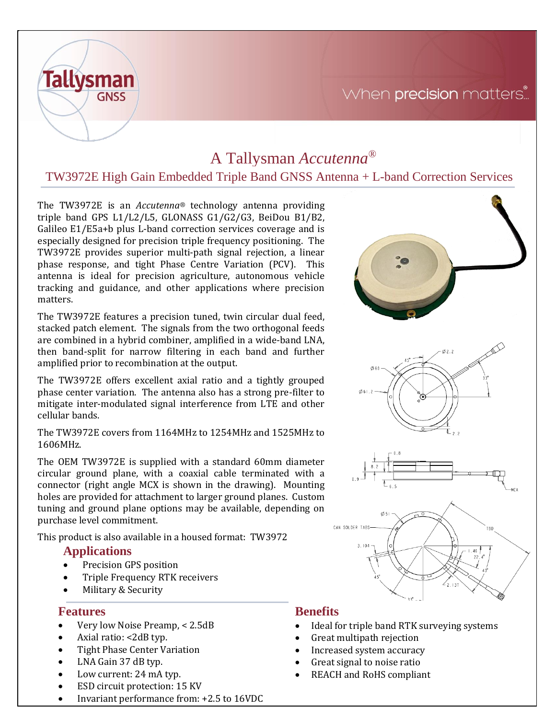### When precision matters...

# A Tallysman *Accutenna®*

### TW3972E High Gain Embedded Triple Band GNSS Antenna + L-band Correction Services

The TW3972E is an *Accutenna®* technology antenna providing triple band GPS L1/L2/L5, GLONASS G1/G2/G3, BeiDou B1/B2, Galileo E1/E5a+b plus L-band correction services coverage and is especially designed for precision triple frequency positioning. The TW3972E provides superior multi-path signal rejection, a linear phase response, and tight Phase Centre Variation (PCV). This antenna is ideal for precision agriculture, autonomous vehicle tracking and guidance, and other applications where precision matters.

The TW3972E features a precision tuned, twin circular dual feed, stacked patch element. The signals from the two orthogonal feeds are combined in a hybrid combiner, amplified in a wide-band LNA, then band-split for narrow filtering in each band and further amplified prior to recombination at the output.

The TW3972E offers excellent axial ratio and a tightly grouped phase center variation. The antenna also has a strong pre-filter to mitigate inter-modulated signal interference from LTE and other cellular bands.

The TW3972E covers from 1164MHz to 1254MHz and 1525MHz to 1606MHz.

The OEM TW3972E is supplied with a standard 60mm diameter circular ground plane, with a coaxial cable terminated with a connector (right angle MCX is shown in the drawing). Mounting holes are provided for attachment to larger ground planes. Custom tuning and ground plane options may be available, depending on purchase level commitment.

This product is also available in a housed format: TW3972

#### **Applications**

**Tallysman** 

**GNSS** 

- Precision GPS position
- Triple Frequency RTK receivers
- Military & Security

#### **Features**

- Very low Noise Preamp, < 2.5dB
- Axial ratio: <2dB typ.
- Tight Phase Center Variation
- LNA Gain 37 dB typ.
- Low current: 24 mA typ.
- ESD circuit protection: 15 KV
- Invariant performance from: +2.5 to 16VDC

#### **Benefits**

- Ideal for triple band RTK surveying systems
- Great multipath rejection
- Increased system accuracy
- Great signal to noise ratio
- REACH and RoHS compliant